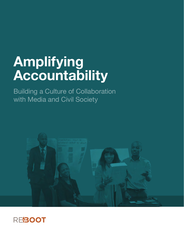# **Amplifying Accountability**

Building a Culture of Collaboration with Media and Civil Society



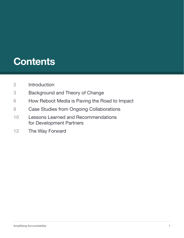## **Contents**

- [Introduction](#page-2-0)
- [Background and Theory of Change](#page-3-0)
- [How Reboot Media is Paving the Road to Impact](#page-6-0)
- [Case Studies from Ongoing Collaborations](#page-8-0)
- [Lessons Learned and Recommendations](#page-10-0)  [for Development Partners](#page-10-0)
- [The Way Forward](#page-12-0)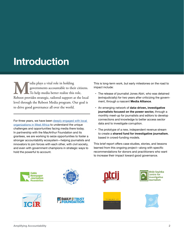## <span id="page-2-0"></span>**Introduction**

Edia plays a vital role in holding<br>governments accountable to their<br>To help media better realize this<br>Reboot provides strategic, tailored support a governments accountable to their citizens. To help media better realize this role, Reboot provides strategic, tailored support at the local level through the Reboot Media program. Our goal is to drive good governance all over the world.

For three years, we have been deeply engaged with local [organizations in West Africa](https://westafricamedia.reboot.org/) to understand the unique challenges and opportunities facing media there today. In partnership with the MacArthur Foundation and its grantees, we are working to seize opportunities to foster a stronger accountability ecosystem—helping journalists and innovators to join forces with each other, with civil society, and even with government champions in strategic ways to hold the powerful to account.

This is long-term work, but early milestones on the road to impact include:

- The release of journalist Jones Abiri, who was detained (extrajudicially) for two years after criticizing the government, through a nascent **Media Alliance**.
- • An emerging network of **data-driven, investigative journalists focused on the power sector,** through a monthly meet-up for journalists and editors to develop connections and knowledge to better access sector data and to investigate corruption.
- The prototype of a new, independent revenue stream to create a **shared fund for investigative journalism**, based in crowd-funding models.

This brief report offers case studies, stories, and lessons learned from this ongoing project—along with specific recommendations for donors and practitioners who want to increase their impact toward good governance.

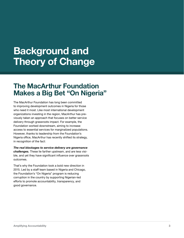### <span id="page-3-0"></span>**Background and Theory of Change**

### **The MacArthur Foundation Makes a Big Bet "On Nigeria"**

The MacArthur Foundation has long been committed to improving development outcomes in Nigeria for those who need it most. Like most international development organizations investing in the region, MacArthur has previously taken an approach that focuses on better service delivery through grassroots impact. For example, the Foundation worked downstream, aiming to increase access to essential services for marginalized populations. However, thanks to leadership from the Foundation's Nigeria office, MacArthur has recently shifted its strategy, in recognition of the fact:

*The real blockages to service delivery are governance challenges.* These lie farther upstream, and are less visible, and yet they have significant influence over grassroots outcomes.

That's why the Foundation took a bold new direction in 2015. Led by a staff team based in Nigeria and Chicago, the Foundation's "On Nigeria" program is reducing corruption in the country by supporting Nigerian-led efforts to promote accountability, transparency, and good governance.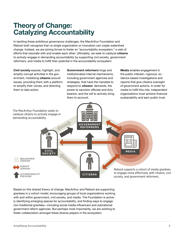### **Theory of Change: Catalyzing Accountability**

In tackling these ambitious governance challenges, the MacArthur Foundation and Reboot both recognize that no single organization or innovation can create watershed change. Instead, we are joining forces to foster an "accountability ecosystem," a web of efforts that resonate with and enable each other. Ultimately, we seek to catalyze **citizens** to actively engage in demanding accountability by supporting civil society, government reformers, and media to fulfill their potential in the accountability ecosystem:

**Civil society** expose, highlight, and amplify corrupt activities in the government, mobilizing **citizens** around issues, providing them with a platform to amplify their voices, and directing them to take action.

**Government reformers** forge and institutionalize internal mechanisms, including government agencies and strategies, that have the mandate to respond to **citizens**' demands, the power to sanction officials and duty bearers, and the will to actively bring them to account.

**Media** enables engagement in the public interest—rigorous, evidence-based investigations and reports that give citizens oversight of government actions. In order for media to fulfill this role, independent organizations must achieve financial sustainability and earn public trust.



Based on this shared theory of change, MacArthur and Reboot are supporting grantees in a cohort model, encouraging groups of local organizations working with and within government, civil society, and media. The Foundation is actively identifying emerging spaces for accountability, and finding ways to engage non-traditional grantees—including social media influencers and subnational government reform agencies. But perhaps most importantly, we are working to foster collaboration amongst these diverse players in the ecosystem.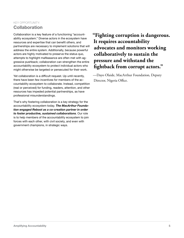### KEY OPPORTUNITY: **Collaboration**

Collaboration is a key feature of a functioning "accountability ecosystem." Diverse actors in the ecosystem have resources and expertise that can benefit others, and partnerships are necessary to implement solutions that will address the entire system. Additionally, because powerful actors are highly motivated to preserve the status quo, attempts to highlight malfeasance are often met with aggressive pushback; collaboration can strengthen the entire accountability ecosystem to protect individual actors who might otherwise be targeted or persecuted for their work.

Yet collaboration is a difficult request. Up until recently, there have been few incentives for members of the accountability ecosystem to collaborate. Instead, competition (real or perceived) for funding, readers, attention, and other resources has impeded potential partnerships, as have professional misunderstandings.

That's why fostering collaboration is a key strategy for the accountability ecosystem today. *The MacArthur Foundation engaged Reboot as a co-creation partner in order to foster productive, sustained collaborations*. Our role is to help members of the accountability ecosystem to join forces with each other, with civil society, and even with government champions, in strategic ways.

### **"Fighting corruption is dangerous. It requires accountability advocates and monitors working collaboratively to sustain the pressure and withstand the fightback from corrupt actors."**

—Dayo Olaide, MacArthur Foundation, Deputy Director, Nigeria Office.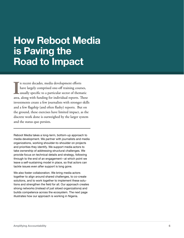### <span id="page-6-0"></span>**How Reboot Media is Paving the Road to Impact**

In recent decades, media development efforts<br>have largely comprised one-off training courses,<br>usually specific to a particular sector of thematic<br>area, along with funding for individual reports. These n recent decades, media development efforts have largely comprised one-off training courses, usually specific to a particular sector of thematic investments create a few journalists with stronger skills and a few flagship (and often flashy) reports. But on the ground, these exercises have limited impact, as the discrete work done is outweighed by the larger system and the status quo persists.

Reboot Media takes a long-term, bottom-up approach to media development. We partner with journalists and media organizations, working shoulder-to-shoulder on projects and priorities they identify. We support media actors to take ownership of addressing structural challenges. We provide focus on technical details and strategy, following through to the end of an engagement—at which point we leave a self-sustaining model in place, so that actors can tackle issues even after support is long gone.

We also foster collaboration. We bring media actors together to align around shared challenges, to co-create solutions, and to work together to implement these solutions and strengthen the field for all. Our approach creates strong networks (instead of just siloed organizations) and builds competence across the ecosystem. The next page illustrates how our approach is working in Nigeria.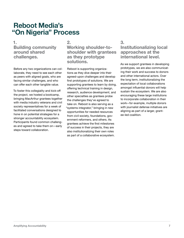### **Reboot Media's "On Nigeria" Process**

### **1. Building community around shared challenges.**

Before any two organizations can collaborate, they need to see each other as peers with aligned goals, who are facing similar challenges, and who can offer each other tangible value.

To foster this collegiality and kick-off the project, we hosted a bootcamp, bringing MacArthur grantees together with media industry veterans and civil society representatives for a week of facilitated conversations designed to hone in on potential strategies for a stronger accountability ecosystem. Participants found common challenges and agreed to take them on—early steps toward collaboration.

### **2.**

### **Working shoulder-toshoulder with grantees as they prototype solutions.**

Reboot is supporting organizations as they dive deeper into their agreed-upon challenges and develop first prototypes of solutions. We are supporting grantees to learn by doing, offering technical training in design, research, audience development, and other specialties as grantees probe the challenges they've agreed to take on. Reboot is also serving as a "systems integrator," bringing in new opportunities for needed resources from civil society, foundations, government reformers, and others. As grantees achieve the first milestones of success in their projects, they are also institutionalizing their own roles as part of a collaborative ecosystem.

### **3.**

### **Institutionalizing local approaches at the international level.**

As we support grantees in developing prototypes, we are also communicating their work and success to donors and other international actors. Over the long term, institutionalizing the expectation of local collaborations amongst influential donors will help sustain the ecosystem. We are also encouraging these large institutions to incorporate collaboration in their work—for example, multiple donors with journalist defense initiatives are aligning as part of a larger, grantee-led coalition.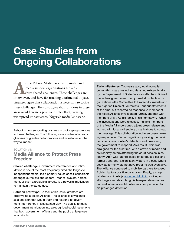## <span id="page-8-0"></span>**Case Studies from Ongoing Collaborations**

t the Reboot Media bootcamp, media and<br>media support organizations arrived at<br>three shared challenges. These challenges and<br>interwoven, and have far-reaching detrimental impa media support organizations arrived at three shared challenges. These challenges are interwoven, and have far-reaching detrimental impact. Grantees agree that collaboration is necessary to tackle these challenges. They also agree that solutions in these areas would create a positive ripple effect, creating widespread impact across Nigeria's media landscape.

Reboot is now supporting grantees in prototyping solutions to these challenges. The following case studies offer early glimpses of grantee collaborations and milestones on the way to impact.

#### SOLUTION #1:

### **Media Alliance to Protect Press Freedom**

**Shared challenge:** Government interference and intimidation is one of the most frequently cited challenges to independent media. It's a primary cause of self-censorship amongst journalists and editors—fear of lawsuits, harassment, or even extrajudicial arrests is a powerful motivation to maintain the status quo.

**Solution prototype:** To tackle this issue, grantees are prototyping a Media Alliance. The alliance is envisioned as a coalition that would track and respond to government interference in a sustained way. The goal is to make government intimidation into a recognized social issue, one that both government officials and the public at large see as a priority.

**Early milestones:** Two years ago, local journalist Jones Abiri was arrested and detained extrajudicially by the Department of State Services after he criticized the federal government. Two journalist protection organizations—the Committee to Protect Journalists and the Nigerian Union of Journalists—put out statements at the time, but received no response. A member of the Media Alliance investigated further, and met with members of Mr. Abiri's family in his hometown. When the investigations were released, multiple members of the Media Alliance signed a joint press release and worked with local civil society organizations to spread the message. This collaboration led to an overwhelming response on Twitter, significantly raising the public consciousness of Abiri's detention and pressuring the government to respond. As a result, Abiri was arraigned for the first time, with a crowd of media and civil society actors attending the court session in solidarity! Abiri was later released on a reduced bail and formally charged, a significant victory in a case where activists formerly did not have proof he was even alive. The Alliance continued to mobilize partners to speed Abiri's trial to a positive conclusion. Finally, a magistrate court in Abuja [acquitted Mr Abiri,](https://www.premiumtimesng.com/news/headlines/284032-breaking-court-strikes-out-suit-against-journalist-jones-abiri.html) striking out all charges and describing his two-year detention as criminal intimidation. Mr. Abiri was compensated for his prolonged detention.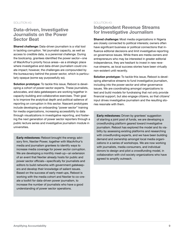#### SOLUTION #2:

### **Data-driven, Investigative Journalists on the Power Sector Beat**

**Shared challenge:** Data-driven journalism is a vital tool in tackling corruption. Yet journalist capacity, as well as access to credible data, is a perennial challenge. During the bootcamp, grantees identified the power sector—one of MacArthur's priority focus areas—as a strategic place where investigative and data-driven journalism could create impact; however, the challenges are compounded by the bureaucracy behind the power sector, which is particularly opaque (some say purposefully so).

**Solution prototype:** To tackle this issue, Reboot is developing a cohort of power-sector experts. These journalists, advocates, and data gatekeepers are working together in capacity-building and collaborative exercises. Their goal is to improve the analytical depth and political salience of reporting on corruption in this sector. Nascent prototypes include developing an onboarding "power sector" training for media organizations, increasing accessibility to data through visualizations in investigative reporting, and fostering the next generation of power sector reporters through a public lecture series and investigative journalism module in universities.

**Early milestones:** Reboot brought the energy advisory firm, Nextier Power, together with MacArthur's media and journalism grantees to identify ways to increase media coverage for power sector corruption. We are developing a monthly meet-up—an extension of an event that Nextier already hosts for public and power sector officials—specifically for journalists and editors to build networks with government gatekeepers and develop their knowledge of salient issues. Based on the success of early meet-ups, Reboot is working with the media cohort and Nextier to co-create a toolkit for data-driven power journalism, to increase the number of journalists who have a good understanding of power sector operations.

#### SOLUTION #3:

### **Independent Revenue Streams for Investigative Journalism**

**Shared challenge:** Most media organizations in Nigeria are closely connected to political interests; owners often have significant business or political connections that influence editorial decisions and limit investigative reporting on governance issues. While there are media owners and entrepreneurs who may be interested in greater editorial independence, they are hesitant to invest in new revenue streams, as local success stories have been virtually non-existent until recently.

**Solution prototype:** To tackle this issue, Reboot is developing alternative streams to fund investigative journalism, including into the power sector and other governance issues. We are coordinating amongst organizations to test and build models for fundraising that not only provide financial support, but also engage citizens, so that citizens' input drives investigative journalism and the resulting stories resonate with them.

**Early milestones:** Driven by grantees' suggestion of starting a joint pool of funds, we are developing a crowdfunding platform geared toward investigative journalism. Reboot has explored the model and its viability by assessing existing platforms and researching with crowdfunding experts, and we have been building demand and ownership amongst local media organizations in a series of workshops. We are now working with journalists, media consumers, and individual donors to design and pilot a crowdfunding model, in collaboration with civil society organizations who have agreed to amplify outreach.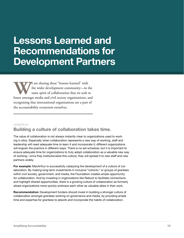### <span id="page-10-0"></span>**Lessons Learned and Recommendations for Development Partners**

**WE** are sharing these "lessons learned" with the wider development community—in the same spirit of collaboration that we seek to foster amongst media and civil society organizations, and the wider development community—in the same spirit of collaboration that we seek to recognizing that international organizations are a part of the accountability ecosystem ourselves.

#### LESSON #1:

### **Building a culture of collaboration takes time.**

The value of collaboration is not always instantly clear to organizations used to working in silos. Especially when collaboration represents a new way of working, staff and leadership will need adequate time to learn it and incorporate it; different organizations will engrain the practice in different ways. There is no set schedule, but it is important to ensure adequate time for organizations to truly adopt collaboration as a valuable new way of working—once they institutionalize this culture, they will spread it to new staff and new partners widely.

**For example:** MacArthur is successfully catalyzing the development of a culture of collaboration. By making long-term investments in inclusive "cohorts," or groups of grantees within civil society, government, and media, the Foundation creates ample opportunity for collaboration. And by investing in organizations like Reboot to facilitate connections and highlight shared opportunities, there is a growing culture of collaboration as formerly siloed organizations more quickly embrace each other as valuable allies in their work.

**Recommendation:** Development funders should invest in building a stronger culture of collaboration amongst grantees working on governance and media, by providing ample time and expertise for grantees to absorb and incorporate the habits of collaboration.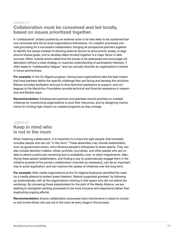### LESSON # 2: **Collaboration must be conceived and led locally, based on issues prioritized together.**

A "collaborative" project pushed by an external actor is far less likely to be sustained than one conceived and led by local organizations themselves. Co-creation processes provide grounding for a successful collaboration; bringing all prospective partners together to identify the issues (instead of allowing external donors to drive priority areas), to align around shared goals, and to develop steps forward together is a major factor in later success. When outside actors determine the issues to be addressed and encourage collaboration without a clear strategy or nuanced understanding of participants interests, it often leads to "collaboration fatigue," and can actually diminish an organization's interest in future partnerships.

**For example:** In the On Nigeria program, having local organizations take the lead means that local partners define the specific challenge they are facing and develop the solutions. Reboot provides facilitation and just-in-time technical assistance to support, and colleagues at the MacArthur Foundation provide technical and financial assistance in responsive and flexible ways.

**Recommendation:** Development partners and grantees should prioritize co-created initiatives by incentivizing organizations to pool their resources, and by designing mechanisms for funding high-impact co-created programs as they emerge.

#### LESSON #3:

### **Keep in mind who is not in the room**

When fostering collaboration, it is important to involve the right people; that inevitably includes people who are not "in the room." These absentees may include stakeholders, such as government actors, who influence people's willingness to share openly. They can also include decision-makers, citizen activists, journalists, and other people who are unable to attend a particular convening due to availability, cost, or other impediments. Identifying these absent stakeholders, and finding a way to systematically engage them in the initiative (outside of the primary collaboration channels as necessary), can be an important way to avoid duplication, and can improve the uptake of initiatives over the long-term.

**For example:** After media organizations at the On Nigeria bootcamp identified the need for a media alliance to protect press freedom, Reboot supported grantees' by following up systematically with all the organizations working in that space who did not attend the workshop. By convening these stakeholders for the pilot of the Media Alliance, we are seeking to strengthen existing processes to be more inclusive and responsive (rather than duplicating ongoing efforts).

**Recommendation:** Ensure collaboration processes have mechanisms in place to consider and involve those who are not in the room at every stage in the process.